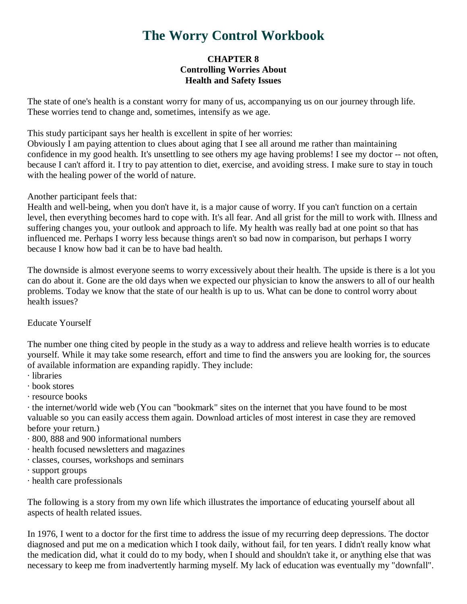# **The Worry Control Workbook**

## **CHAPTER 8 Controlling Worries About Health and Safety Issues**

The state of one's health is a constant worry for many of us, accompanying us on our journey through life. These worries tend to change and, sometimes, intensify as we age.

This study participant says her health is excellent in spite of her worries:

Obviously I am paying attention to clues about aging that I see all around me rather than maintaining confidence in my good health. It's unsettling to see others my age having problems! I see my doctor -- not often, because I can't afford it. I try to pay attention to diet, exercise, and avoiding stress. I make sure to stay in touch with the healing power of the world of nature.

Another participant feels that:

Health and well-being, when you don't have it, is a major cause of worry. If you can't function on a certain level, then everything becomes hard to cope with. It's all fear. And all grist for the mill to work with. Illness and suffering changes you, your outlook and approach to life. My health was really bad at one point so that has influenced me. Perhaps I worry less because things aren't so bad now in comparison, but perhaps I worry because I know how bad it can be to have bad health.

The downside is almost everyone seems to worry excessively about their health. The upside is there is a lot you can do about it. Gone are the old days when we expected our physician to know the answers to all of our health problems. Today we know that the state of our health is up to us. What can be done to control worry about health issues?

## Educate Yourself

The number one thing cited by people in the study as a way to address and relieve health worries is to educate yourself. While it may take some research, effort and time to find the answers you are looking for, the sources of available information are expanding rapidly. They include:

- · libraries
- · book stores
- · resource books

· the internet/world wide web (You can "bookmark" sites on the internet that you have found to be most valuable so you can easily access them again. Download articles of most interest in case they are removed before your return.)

- · 800, 888 and 900 informational numbers
- · health focused newsletters and magazines
- · classes, courses, workshops and seminars
- · support groups
- · health care professionals

The following is a story from my own life which illustrates the importance of educating yourself about all aspects of health related issues.

In 1976, I went to a doctor for the first time to address the issue of my recurring deep depressions. The doctor diagnosed and put me on a medication which I took daily, without fail, for ten years. I didn't really know what the medication did, what it could do to my body, when I should and shouldn't take it, or anything else that was necessary to keep me from inadvertently harming myself. My lack of education was eventually my "downfall".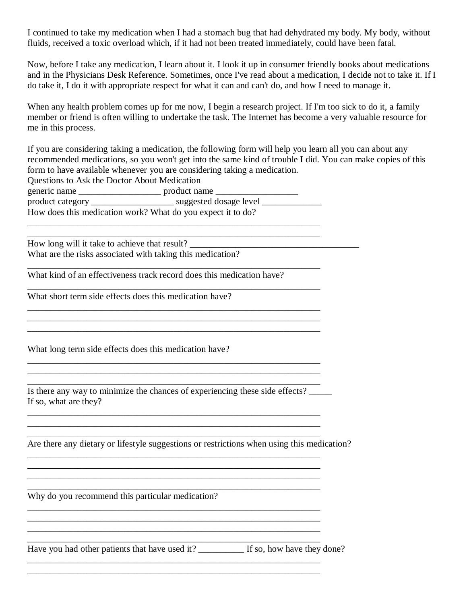I continued to take my medication when I had a stomach bug that had dehydrated my body. My body, without fluids, received a toxic overload which, if it had not been treated immediately, could have been fatal.

Now, before I take any medication, I learn about it. I look it up in consumer friendly books about medications and in the Physicians Desk Reference. Sometimes, once I've read about a medication, I decide not to take it. If I do take it, I do it with appropriate respect for what it can and can't do, and how I need to manage it.

When any health problem comes up for me now, I begin a research project. If I'm too sick to do it, a family member or friend is often willing to undertake the task. The Internet has become a very valuable resource for me in this process.

If you are considering taking a medication, the following form will help you learn all you can about any recommended medications, so you won't get into the same kind of trouble I did. You can make copies of this form to have available whenever you are considering taking a medication.

Questions to Ask the Doctor About Medication

generic name  $\frac{1}{\sqrt{1-\frac{1}{2}}\sqrt{1-\frac{1}{2}}\sqrt{1-\frac{1}{2}}\sqrt{1-\frac{1}{2}}\sqrt{1-\frac{1}{2}}\sqrt{1-\frac{1}{2}}\sqrt{1-\frac{1}{2}}\sqrt{1-\frac{1}{2}}\sqrt{1-\frac{1}{2}}\sqrt{1-\frac{1}{2}}\sqrt{1-\frac{1}{2}}\sqrt{1-\frac{1}{2}}\sqrt{1-\frac{1}{2}}\sqrt{1-\frac{1}{2}}\sqrt{1-\frac{1}{2}}\sqrt{1-\frac{1}{2}}\sqrt{1-\frac{1}{2}}\sqrt{1-\frac{1}{2}}\sqrt{1$ product category \_\_\_\_\_\_\_\_\_\_\_\_\_\_\_\_\_\_ suggested dosage level \_\_\_\_\_\_\_\_\_\_\_\_\_

\_\_\_\_\_\_\_\_\_\_\_\_\_\_\_\_\_\_\_\_\_\_\_\_\_\_\_\_\_\_\_\_\_\_\_\_\_\_\_\_\_\_\_\_\_\_\_\_\_\_\_\_\_\_\_\_\_\_\_\_\_\_\_\_

How does this medication work? What do you expect it to do?

\_\_\_\_\_\_\_\_\_\_\_\_\_\_\_\_\_\_\_\_\_\_\_\_\_\_\_\_\_\_\_\_\_\_\_\_\_\_\_\_\_\_\_\_\_\_\_\_\_\_\_\_\_\_\_\_\_\_\_\_\_\_\_\_ How long will it take to achieve that result? What are the risks associated with taking this medication?

\_\_\_\_\_\_\_\_\_\_\_\_\_\_\_\_\_\_\_\_\_\_\_\_\_\_\_\_\_\_\_\_\_\_\_\_\_\_\_\_\_\_\_\_\_\_\_\_\_\_\_\_\_\_\_\_\_\_\_\_\_\_\_\_ What kind of an effectiveness track record does this medication have?

\_\_\_\_\_\_\_\_\_\_\_\_\_\_\_\_\_\_\_\_\_\_\_\_\_\_\_\_\_\_\_\_\_\_\_\_\_\_\_\_\_\_\_\_\_\_\_\_\_\_\_\_\_\_\_\_\_\_\_\_\_\_\_\_ What short term side effects does this medication have?

What long term side effects does this medication have?

\_\_\_\_\_\_\_\_\_\_\_\_\_\_\_\_\_\_\_\_\_\_\_\_\_\_\_\_\_\_\_\_\_\_\_\_\_\_\_\_\_\_\_\_\_\_\_\_\_\_\_\_\_\_\_\_\_\_\_\_\_\_\_\_ Is there any way to minimize the chances of experiencing these side effects? If so, what are they?

\_\_\_\_\_\_\_\_\_\_\_\_\_\_\_\_\_\_\_\_\_\_\_\_\_\_\_\_\_\_\_\_\_\_\_\_\_\_\_\_\_\_\_\_\_\_\_\_\_\_\_\_\_\_\_\_\_\_\_\_\_\_\_\_ \_\_\_\_\_\_\_\_\_\_\_\_\_\_\_\_\_\_\_\_\_\_\_\_\_\_\_\_\_\_\_\_\_\_\_\_\_\_\_\_\_\_\_\_\_\_\_\_\_\_\_\_\_\_\_\_\_\_\_\_\_\_\_\_ \_\_\_\_\_\_\_\_\_\_\_\_\_\_\_\_\_\_\_\_\_\_\_\_\_\_\_\_\_\_\_\_\_\_\_\_\_\_\_\_\_\_\_\_\_\_\_\_\_\_\_\_\_\_\_\_\_\_\_\_\_\_\_\_

\_\_\_\_\_\_\_\_\_\_\_\_\_\_\_\_\_\_\_\_\_\_\_\_\_\_\_\_\_\_\_\_\_\_\_\_\_\_\_\_\_\_\_\_\_\_\_\_\_\_\_\_\_\_\_\_\_\_\_\_\_\_\_\_ \_\_\_\_\_\_\_\_\_\_\_\_\_\_\_\_\_\_\_\_\_\_\_\_\_\_\_\_\_\_\_\_\_\_\_\_\_\_\_\_\_\_\_\_\_\_\_\_\_\_\_\_\_\_\_\_\_\_\_\_\_\_\_\_ \_\_\_\_\_\_\_\_\_\_\_\_\_\_\_\_\_\_\_\_\_\_\_\_\_\_\_\_\_\_\_\_\_\_\_\_\_\_\_\_\_\_\_\_\_\_\_\_\_\_\_\_\_\_\_\_\_\_\_\_\_\_\_\_

\_\_\_\_\_\_\_\_\_\_\_\_\_\_\_\_\_\_\_\_\_\_\_\_\_\_\_\_\_\_\_\_\_\_\_\_\_\_\_\_\_\_\_\_\_\_\_\_\_\_\_\_\_\_\_\_\_\_\_\_\_\_\_\_

\_\_\_\_\_\_\_\_\_\_\_\_\_\_\_\_\_\_\_\_\_\_\_\_\_\_\_\_\_\_\_\_\_\_\_\_\_\_\_\_\_\_\_\_\_\_\_\_\_\_\_\_\_\_\_\_\_\_\_\_\_\_\_\_ \_\_\_\_\_\_\_\_\_\_\_\_\_\_\_\_\_\_\_\_\_\_\_\_\_\_\_\_\_\_\_\_\_\_\_\_\_\_\_\_\_\_\_\_\_\_\_\_\_\_\_\_\_\_\_\_\_\_\_\_\_\_\_\_

\_\_\_\_\_\_\_\_\_\_\_\_\_\_\_\_\_\_\_\_\_\_\_\_\_\_\_\_\_\_\_\_\_\_\_\_\_\_\_\_\_\_\_\_\_\_\_\_\_\_\_\_\_\_\_\_\_\_\_\_\_\_\_\_

\_\_\_\_\_\_\_\_\_\_\_\_\_\_\_\_\_\_\_\_\_\_\_\_\_\_\_\_\_\_\_\_\_\_\_\_\_\_\_\_\_\_\_\_\_\_\_\_\_\_\_\_\_\_\_\_\_\_\_\_\_\_\_\_

\_\_\_\_\_\_\_\_\_\_\_\_\_\_\_\_\_\_\_\_\_\_\_\_\_\_\_\_\_\_\_\_\_\_\_\_\_\_\_\_\_\_\_\_\_\_\_\_\_\_\_\_\_\_\_\_\_\_\_\_\_\_\_\_

\_\_\_\_\_\_\_\_\_\_\_\_\_\_\_\_\_\_\_\_\_\_\_\_\_\_\_\_\_\_\_\_\_\_\_\_\_\_\_\_\_\_\_\_\_\_\_\_\_\_\_\_\_\_\_\_\_\_\_\_\_\_\_\_

Are there any dietary or lifestyle suggestions or restrictions when using this medication?

Why do you recommend this particular medication?

\_\_\_\_\_\_\_\_\_\_\_\_\_\_\_\_\_\_\_\_\_\_\_\_\_\_\_\_\_\_\_\_\_\_\_\_\_\_\_\_\_\_\_\_\_\_\_\_\_\_\_\_\_\_\_\_\_\_\_\_\_\_\_\_ Have you had other patients that have used it? \_\_\_\_\_\_\_\_\_\_\_ If so, how have they done?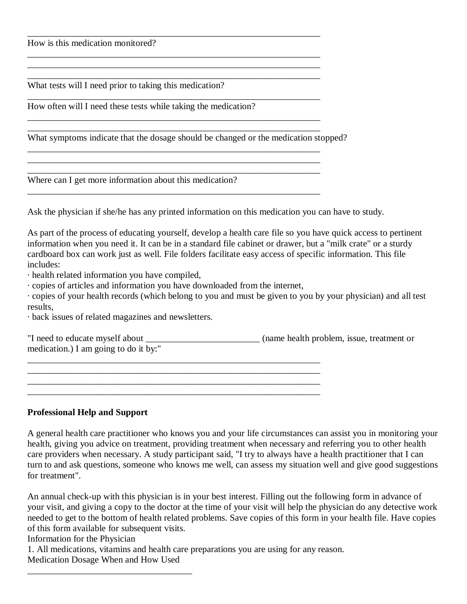How is this medication monitored?

\_\_\_\_\_\_\_\_\_\_\_\_\_\_\_\_\_\_\_\_\_\_\_\_\_\_\_\_\_\_\_\_\_\_\_\_\_\_\_\_\_\_\_\_\_\_\_\_\_\_\_\_\_\_\_\_\_\_\_\_\_\_\_\_ What tests will I need prior to taking this medication?

How often will I need these tests while taking the medication?

What symptoms indicate that the dosage should be changed or the medication stopped?

\_\_\_\_\_\_\_\_\_\_\_\_\_\_\_\_\_\_\_\_\_\_\_\_\_\_\_\_\_\_\_\_\_\_\_\_\_\_\_\_\_\_\_\_\_\_\_\_\_\_\_\_\_\_\_\_\_\_\_\_\_\_\_\_

\_\_\_\_\_\_\_\_\_\_\_\_\_\_\_\_\_\_\_\_\_\_\_\_\_\_\_\_\_\_\_\_\_\_\_\_\_\_\_\_\_\_\_\_\_\_\_\_\_\_\_\_\_\_\_\_\_\_\_\_\_\_\_\_ \_\_\_\_\_\_\_\_\_\_\_\_\_\_\_\_\_\_\_\_\_\_\_\_\_\_\_\_\_\_\_\_\_\_\_\_\_\_\_\_\_\_\_\_\_\_\_\_\_\_\_\_\_\_\_\_\_\_\_\_\_\_\_\_

\_\_\_\_\_\_\_\_\_\_\_\_\_\_\_\_\_\_\_\_\_\_\_\_\_\_\_\_\_\_\_\_\_\_\_\_\_\_\_\_\_\_\_\_\_\_\_\_\_\_\_\_\_\_\_\_\_\_\_\_\_\_\_\_

\_\_\_\_\_\_\_\_\_\_\_\_\_\_\_\_\_\_\_\_\_\_\_\_\_\_\_\_\_\_\_\_\_\_\_\_\_\_\_\_\_\_\_\_\_\_\_\_\_\_\_\_\_\_\_\_\_\_\_\_\_\_\_\_ \_\_\_\_\_\_\_\_\_\_\_\_\_\_\_\_\_\_\_\_\_\_\_\_\_\_\_\_\_\_\_\_\_\_\_\_\_\_\_\_\_\_\_\_\_\_\_\_\_\_\_\_\_\_\_\_\_\_\_\_\_\_\_\_

\_\_\_\_\_\_\_\_\_\_\_\_\_\_\_\_\_\_\_\_\_\_\_\_\_\_\_\_\_\_\_\_\_\_\_\_\_\_\_\_\_\_\_\_\_\_\_\_\_\_\_\_\_\_\_\_\_\_\_\_\_\_\_\_ \_\_\_\_\_\_\_\_\_\_\_\_\_\_\_\_\_\_\_\_\_\_\_\_\_\_\_\_\_\_\_\_\_\_\_\_\_\_\_\_\_\_\_\_\_\_\_\_\_\_\_\_\_\_\_\_\_\_\_\_\_\_\_\_ \_\_\_\_\_\_\_\_\_\_\_\_\_\_\_\_\_\_\_\_\_\_\_\_\_\_\_\_\_\_\_\_\_\_\_\_\_\_\_\_\_\_\_\_\_\_\_\_\_\_\_\_\_\_\_\_\_\_\_\_\_\_\_\_

\_\_\_\_\_\_\_\_\_\_\_\_\_\_\_\_\_\_\_\_\_\_\_\_\_\_\_\_\_\_\_\_\_\_\_\_\_\_\_\_\_\_\_\_\_\_\_\_\_\_\_\_\_\_\_\_\_\_\_\_\_\_\_\_

Where can I get more information about this medication?

Ask the physician if she/he has any printed information on this medication you can have to study.

As part of the process of educating yourself, develop a health care file so you have quick access to pertinent information when you need it. It can be in a standard file cabinet or drawer, but a "milk crate" or a sturdy cardboard box can work just as well. File folders facilitate easy access of specific information. This file includes:

· health related information you have compiled,

· copies of articles and information you have downloaded from the internet,

· copies of your health records (which belong to you and must be given to you by your physician) and all test results,

· back issues of related magazines and newsletters.

"I need to educate myself about \_\_\_\_\_\_\_\_\_\_\_\_\_\_\_\_\_\_\_\_\_\_\_\_\_ (name health problem, issue, treatment or medication.) I am going to do it by:"

\_\_\_\_\_\_\_\_\_\_\_\_\_\_\_\_\_\_\_\_\_\_\_\_\_\_\_\_\_\_\_\_\_\_\_\_\_\_\_\_\_\_\_\_\_\_\_\_\_\_\_\_\_\_\_\_\_\_\_\_\_\_\_\_ \_\_\_\_\_\_\_\_\_\_\_\_\_\_\_\_\_\_\_\_\_\_\_\_\_\_\_\_\_\_\_\_\_\_\_\_\_\_\_\_\_\_\_\_\_\_\_\_\_\_\_\_\_\_\_\_\_\_\_\_\_\_\_\_

\_\_\_\_\_\_\_\_\_\_\_\_\_\_\_\_\_\_\_\_\_\_\_\_\_\_\_\_\_\_\_\_\_\_\_\_\_\_\_\_\_\_\_\_\_\_\_\_\_\_\_\_\_\_\_\_\_\_\_\_\_\_\_\_ \_\_\_\_\_\_\_\_\_\_\_\_\_\_\_\_\_\_\_\_\_\_\_\_\_\_\_\_\_\_\_\_\_\_\_\_\_\_\_\_\_\_\_\_\_\_\_\_\_\_\_\_\_\_\_\_\_\_\_\_\_\_\_\_

## **Professional Help and Support**

A general health care practitioner who knows you and your life circumstances can assist you in monitoring your health, giving you advice on treatment, providing treatment when necessary and referring you to other health care providers when necessary. A study participant said, "I try to always have a health practitioner that I can turn to and ask questions, someone who knows me well, can assess my situation well and give good suggestions for treatment".

An annual check-up with this physician is in your best interest. Filling out the following form in advance of your visit, and giving a copy to the doctor at the time of your visit will help the physician do any detective work needed to get to the bottom of health related problems. Save copies of this form in your health file. Have copies of this form available for subsequent visits.

Information for the Physician

\_\_\_\_\_\_\_\_\_\_\_\_\_\_\_\_\_\_\_\_\_\_\_\_\_\_\_\_\_\_\_\_\_\_\_\_

1. All medications, vitamins and health care preparations you are using for any reason. Medication Dosage When and How Used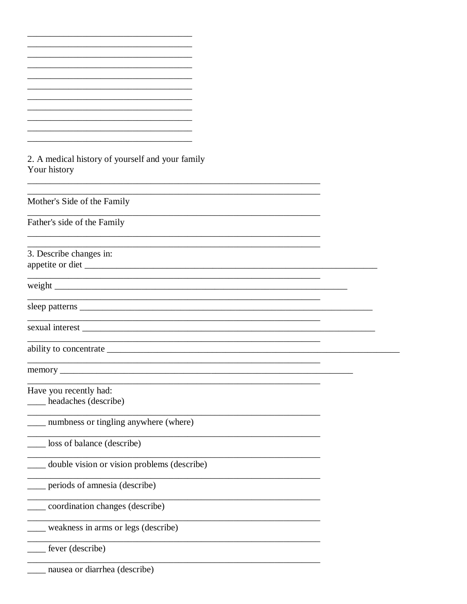| 2. A medical history of yourself and your family<br>Your history                                                       |
|------------------------------------------------------------------------------------------------------------------------|
| Mother's Side of the Family                                                                                            |
| Father's side of the Family                                                                                            |
| 3. Describe changes in:                                                                                                |
|                                                                                                                        |
| <u> 1989 - Johann John Stoff, deutscher Stoffen und der Stoffen und der Stoffen und der Stoffen und der Stoffen un</u> |
|                                                                                                                        |
| <u> 1989 - John Harry Harry Harry Harry Harry Harry Harry Harry Harry Harry Harry Harry Harry Harry Harry Harry H</u>  |
|                                                                                                                        |
| memory_                                                                                                                |
| Have you recently had:<br>headaches (describe)                                                                         |
| numbness or tingling anywhere (where)                                                                                  |
| loss of balance (describe)                                                                                             |
| __ double vision or vision problems (describe)                                                                         |
| <u>example</u> periods of amnesia (describe)                                                                           |
| _ coordination changes (describe)                                                                                      |
| weakness in arms or legs (describe)                                                                                    |
| fever (describe)                                                                                                       |
| nausea or diarrhea (describe)                                                                                          |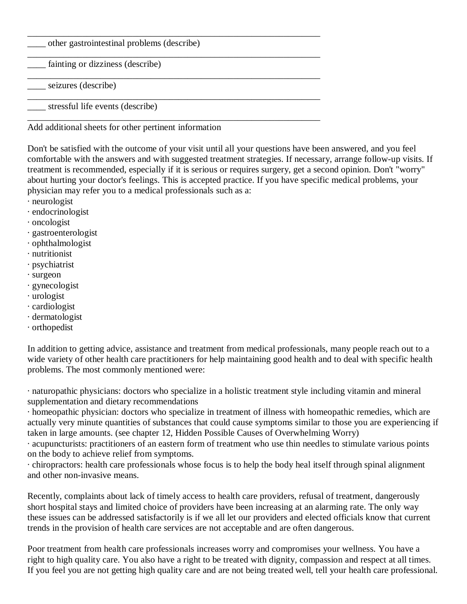| other gastrointestinal problems (describe) |
|--------------------------------------------|
| fainting or dizziness (describe)           |
| seizures (describe)                        |
| stressful life events (describe)           |

Add additional sheets for other pertinent information

Don't be satisfied with the outcome of your visit until all your questions have been answered, and you feel comfortable with the answers and with suggested treatment strategies. If necessary, arrange follow-up visits. If treatment is recommended, especially if it is serious or requires surgery, get a second opinion. Don't "worry" about hurting your doctor's feelings. This is accepted practice. If you have specific medical problems, your physician may refer you to a medical professionals such as a:

- · neurologist
- · endocrinologist
- · oncologist
- · gastroenterologist
- · ophthalmologist
- · nutritionist
- · psychiatrist
- · surgeon
- · gynecologist
- · urologist
- · cardiologist
- · dermatologist
- · orthopedist

In addition to getting advice, assistance and treatment from medical professionals, many people reach out to a wide variety of other health care practitioners for help maintaining good health and to deal with specific health problems. The most commonly mentioned were:

· naturopathic physicians: doctors who specialize in a holistic treatment style including vitamin and mineral supplementation and dietary recommendations

· homeopathic physician: doctors who specialize in treatment of illness with homeopathic remedies, which are actually very minute quantities of substances that could cause symptoms similar to those you are experiencing if taken in large amounts. (see chapter 12, Hidden Possible Causes of Overwhelming Worry)

· acupuncturists: practitioners of an eastern form of treatment who use thin needles to stimulate various points on the body to achieve relief from symptoms.

· chiropractors: health care professionals whose focus is to help the body heal itself through spinal alignment and other non-invasive means.

Recently, complaints about lack of timely access to health care providers, refusal of treatment, dangerously short hospital stays and limited choice of providers have been increasing at an alarming rate. The only way these issues can be addressed satisfactorily is if we all let our providers and elected officials know that current trends in the provision of health care services are not acceptable and are often dangerous.

Poor treatment from health care professionals increases worry and compromises your wellness. You have a right to high quality care. You also have a right to be treated with dignity, compassion and respect at all times. If you feel you are not getting high quality care and are not being treated well, tell your health care professional.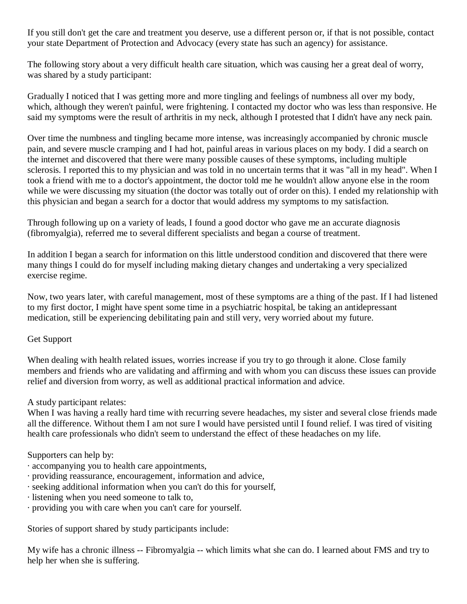If you still don't get the care and treatment you deserve, use a different person or, if that is not possible, contact your state Department of Protection and Advocacy (every state has such an agency) for assistance.

The following story about a very difficult health care situation, which was causing her a great deal of worry, was shared by a study participant:

Gradually I noticed that I was getting more and more tingling and feelings of numbness all over my body, which, although they weren't painful, were frightening. I contacted my doctor who was less than responsive. He said my symptoms were the result of arthritis in my neck, although I protested that I didn't have any neck pain.

Over time the numbness and tingling became more intense, was increasingly accompanied by chronic muscle pain, and severe muscle cramping and I had hot, painful areas in various places on my body. I did a search on the internet and discovered that there were many possible causes of these symptoms, including multiple sclerosis. I reported this to my physician and was told in no uncertain terms that it was "all in my head". When I took a friend with me to a doctor's appointment, the doctor told me he wouldn't allow anyone else in the room while we were discussing my situation (the doctor was totally out of order on this). I ended my relationship with this physician and began a search for a doctor that would address my symptoms to my satisfaction.

Through following up on a variety of leads, I found a good doctor who gave me an accurate diagnosis (fibromyalgia), referred me to several different specialists and began a course of treatment.

In addition I began a search for information on this little understood condition and discovered that there were many things I could do for myself including making dietary changes and undertaking a very specialized exercise regime.

Now, two years later, with careful management, most of these symptoms are a thing of the past. If I had listened to my first doctor, I might have spent some time in a psychiatric hospital, be taking an antidepressant medication, still be experiencing debilitating pain and still very, very worried about my future.

## Get Support

When dealing with health related issues, worries increase if you try to go through it alone. Close family members and friends who are validating and affirming and with whom you can discuss these issues can provide relief and diversion from worry, as well as additional practical information and advice.

## A study participant relates:

When I was having a really hard time with recurring severe headaches, my sister and several close friends made all the difference. Without them I am not sure I would have persisted until I found relief. I was tired of visiting health care professionals who didn't seem to understand the effect of these headaches on my life.

Supporters can help by:

- · accompanying you to health care appointments,
- · providing reassurance, encouragement, information and advice,
- · seeking additional information when you can't do this for yourself,
- · listening when you need someone to talk to,
- · providing you with care when you can't care for yourself.

Stories of support shared by study participants include:

My wife has a chronic illness -- Fibromyalgia -- which limits what she can do. I learned about FMS and try to help her when she is suffering.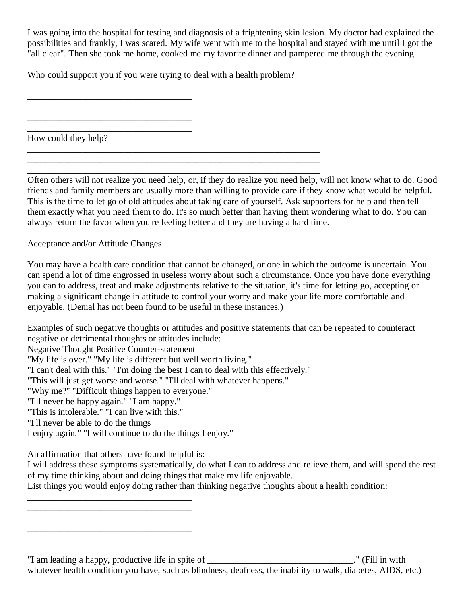I was going into the hospital for testing and diagnosis of a frightening skin lesion. My doctor had explained the possibilities and frankly, I was scared. My wife went with me to the hospital and stayed with me until I got the "all clear". Then she took me home, cooked me my favorite dinner and pampered me through the evening.

Who could support you if you were trying to deal with a health problem?

\_\_\_\_\_\_\_\_\_\_\_\_\_\_\_\_\_\_\_\_\_\_\_\_\_\_\_\_\_\_\_\_\_\_\_\_\_\_\_\_\_\_\_\_\_\_\_\_\_\_\_\_\_\_\_\_\_\_\_\_\_\_\_\_

How could they help?

\_\_\_\_\_\_\_\_\_\_\_\_\_\_\_\_\_\_\_\_\_\_\_\_\_\_\_\_\_\_\_\_\_\_\_\_\_\_\_\_\_\_\_\_\_\_\_\_\_\_\_\_\_\_\_\_\_\_\_\_\_\_\_\_ Often others will not realize you need help, or, if they do realize you need help, will not know what to do. Good friends and family members are usually more than willing to provide care if they know what would be helpful. This is the time to let go of old attitudes about taking care of yourself. Ask supporters for help and then tell them exactly what you need them to do. It's so much better than having them wondering what to do. You can always return the favor when you're feeling better and they are having a hard time.

\_\_\_\_\_\_\_\_\_\_\_\_\_\_\_\_\_\_\_\_\_\_\_\_\_\_\_\_\_\_\_\_\_\_\_\_\_\_\_\_\_\_\_\_\_\_\_\_\_\_\_\_\_\_\_\_\_\_\_\_\_\_\_\_

Acceptance and/or Attitude Changes

\_\_\_\_\_\_\_\_\_\_\_\_\_\_\_\_\_\_\_\_\_\_\_\_\_\_\_\_\_\_\_\_\_\_\_\_

 $\mathcal{L}_\text{max}$  , where  $\mathcal{L}_\text{max}$  and  $\mathcal{L}_\text{max}$  and  $\mathcal{L}_\text{max}$ 

\_\_\_\_\_\_\_\_\_\_\_\_\_\_\_\_\_\_\_\_\_\_\_\_\_\_\_\_\_\_\_\_\_\_\_\_

You may have a health care condition that cannot be changed, or one in which the outcome is uncertain. You can spend a lot of time engrossed in useless worry about such a circumstance. Once you have done everything you can to address, treat and make adjustments relative to the situation, it's time for letting go, accepting or making a significant change in attitude to control your worry and make your life more comfortable and enjoyable. (Denial has not been found to be useful in these instances.)

Examples of such negative thoughts or attitudes and positive statements that can be repeated to counteract negative or detrimental thoughts or attitudes include: Negative Thought Positive Counter-statement "My life is over." "My life is different but well worth living." "I can't deal with this." "I'm doing the best I can to deal with this effectively." "This will just get worse and worse." "I'll deal with whatever happens." "Why me?" "Difficult things happen to everyone." "I'll never be happy again." "I am happy." "This is intolerable." "I can live with this." "I'll never be able to do the things

I enjoy again." "I will continue to do the things I enjoy."

An affirmation that others have found helpful is:

\_\_\_\_\_\_\_\_\_\_\_\_\_\_\_\_\_\_\_\_\_\_\_\_\_\_\_\_\_\_\_\_\_\_\_\_ \_\_\_\_\_\_\_\_\_\_\_\_\_\_\_\_\_\_\_\_\_\_\_\_\_\_\_\_\_\_\_\_\_\_\_\_ \_\_\_\_\_\_\_\_\_\_\_\_\_\_\_\_\_\_\_\_\_\_\_\_\_\_\_\_\_\_\_\_\_\_\_\_  $\mathcal{L}_\text{max}$  , and the set of the set of the set of the set of the set of the set of the set of the set of the set of the set of the set of the set of the set of the set of the set of the set of the set of the set of the \_\_\_\_\_\_\_\_\_\_\_\_\_\_\_\_\_\_\_\_\_\_\_\_\_\_\_\_\_\_\_\_\_\_\_\_

I will address these symptoms systematically, do what I can to address and relieve them, and will spend the rest of my time thinking about and doing things that make my life enjoyable.

List things you would enjoy doing rather than thinking negative thoughts about a health condition:

"I am leading a happy, productive life in spite of \_\_\_\_\_\_\_\_\_\_\_\_\_\_\_\_\_\_\_\_\_\_\_\_\_\_\_\_\_\_\_\_." (Fill in with whatever health condition you have, such as blindness, deafness, the inability to walk, diabetes, AIDS, etc.)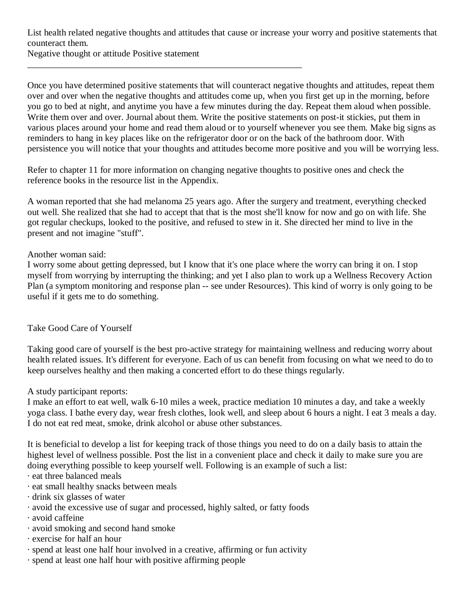List health related negative thoughts and attitudes that cause or increase your worry and positive statements that counteract them.

Negative thought or attitude Positive statement

\_\_\_\_\_\_\_\_\_\_\_\_\_\_\_\_\_\_\_\_\_\_\_\_\_\_\_\_\_\_\_\_\_\_\_\_\_\_\_\_\_\_\_\_\_\_\_\_\_\_\_\_\_\_\_\_\_\_\_\_

Once you have determined positive statements that will counteract negative thoughts and attitudes, repeat them over and over when the negative thoughts and attitudes come up, when you first get up in the morning, before you go to bed at night, and anytime you have a few minutes during the day. Repeat them aloud when possible. Write them over and over. Journal about them. Write the positive statements on post-it stickies, put them in various places around your home and read them aloud or to yourself whenever you see them. Make big signs as reminders to hang in key places like on the refrigerator door or on the back of the bathroom door. With persistence you will notice that your thoughts and attitudes become more positive and you will be worrying less.

Refer to chapter 11 for more information on changing negative thoughts to positive ones and check the reference books in the resource list in the Appendix.

A woman reported that she had melanoma 25 years ago. After the surgery and treatment, everything checked out well. She realized that she had to accept that that is the most she'll know for now and go on with life. She got regular checkups, looked to the positive, and refused to stew in it. She directed her mind to live in the present and not imagine "stuff".

#### Another woman said:

I worry some about getting depressed, but I know that it's one place where the worry can bring it on. I stop myself from worrying by interrupting the thinking; and yet I also plan to work up a Wellness Recovery Action Plan (a symptom monitoring and response plan -- see under Resources). This kind of worry is only going to be useful if it gets me to do something.

## Take Good Care of Yourself

Taking good care of yourself is the best pro-active strategy for maintaining wellness and reducing worry about health related issues. It's different for everyone. Each of us can benefit from focusing on what we need to do to keep ourselves healthy and then making a concerted effort to do these things regularly.

#### A study participant reports:

I make an effort to eat well, walk 6-10 miles a week, practice mediation 10 minutes a day, and take a weekly yoga class. I bathe every day, wear fresh clothes, look well, and sleep about 6 hours a night. I eat 3 meals a day. I do not eat red meat, smoke, drink alcohol or abuse other substances.

It is beneficial to develop a list for keeping track of those things you need to do on a daily basis to attain the highest level of wellness possible. Post the list in a convenient place and check it daily to make sure you are doing everything possible to keep yourself well. Following is an example of such a list:

- · eat three balanced meals
- · eat small healthy snacks between meals
- · drink six glasses of water
- · avoid the excessive use of sugar and processed, highly salted, or fatty foods
- · avoid caffeine
- · avoid smoking and second hand smoke
- · exercise for half an hour
- · spend at least one half hour involved in a creative, affirming or fun activity
- · spend at least one half hour with positive affirming people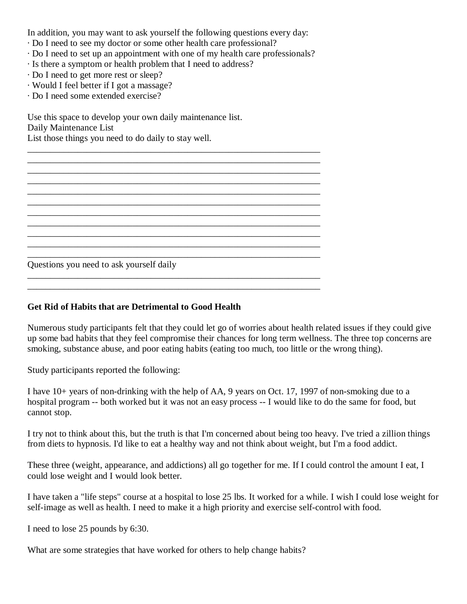In addition, you may want to ask yourself the following questions every day:

- · Do I need to see my doctor or some other health care professional?
- · Do I need to set up an appointment with one of my health care professionals?

\_\_\_\_\_\_\_\_\_\_\_\_\_\_\_\_\_\_\_\_\_\_\_\_\_\_\_\_\_\_\_\_\_\_\_\_\_\_\_\_\_\_\_\_\_\_\_\_\_\_\_\_\_\_\_\_\_\_\_\_\_\_\_\_ \_\_\_\_\_\_\_\_\_\_\_\_\_\_\_\_\_\_\_\_\_\_\_\_\_\_\_\_\_\_\_\_\_\_\_\_\_\_\_\_\_\_\_\_\_\_\_\_\_\_\_\_\_\_\_\_\_\_\_\_\_\_\_\_ \_\_\_\_\_\_\_\_\_\_\_\_\_\_\_\_\_\_\_\_\_\_\_\_\_\_\_\_\_\_\_\_\_\_\_\_\_\_\_\_\_\_\_\_\_\_\_\_\_\_\_\_\_\_\_\_\_\_\_\_\_\_\_\_ \_\_\_\_\_\_\_\_\_\_\_\_\_\_\_\_\_\_\_\_\_\_\_\_\_\_\_\_\_\_\_\_\_\_\_\_\_\_\_\_\_\_\_\_\_\_\_\_\_\_\_\_\_\_\_\_\_\_\_\_\_\_\_\_ \_\_\_\_\_\_\_\_\_\_\_\_\_\_\_\_\_\_\_\_\_\_\_\_\_\_\_\_\_\_\_\_\_\_\_\_\_\_\_\_\_\_\_\_\_\_\_\_\_\_\_\_\_\_\_\_\_\_\_\_\_\_\_\_ \_\_\_\_\_\_\_\_\_\_\_\_\_\_\_\_\_\_\_\_\_\_\_\_\_\_\_\_\_\_\_\_\_\_\_\_\_\_\_\_\_\_\_\_\_\_\_\_\_\_\_\_\_\_\_\_\_\_\_\_\_\_\_\_ \_\_\_\_\_\_\_\_\_\_\_\_\_\_\_\_\_\_\_\_\_\_\_\_\_\_\_\_\_\_\_\_\_\_\_\_\_\_\_\_\_\_\_\_\_\_\_\_\_\_\_\_\_\_\_\_\_\_\_\_\_\_\_\_ \_\_\_\_\_\_\_\_\_\_\_\_\_\_\_\_\_\_\_\_\_\_\_\_\_\_\_\_\_\_\_\_\_\_\_\_\_\_\_\_\_\_\_\_\_\_\_\_\_\_\_\_\_\_\_\_\_\_\_\_\_\_\_\_ \_\_\_\_\_\_\_\_\_\_\_\_\_\_\_\_\_\_\_\_\_\_\_\_\_\_\_\_\_\_\_\_\_\_\_\_\_\_\_\_\_\_\_\_\_\_\_\_\_\_\_\_\_\_\_\_\_\_\_\_\_\_\_\_ \_\_\_\_\_\_\_\_\_\_\_\_\_\_\_\_\_\_\_\_\_\_\_\_\_\_\_\_\_\_\_\_\_\_\_\_\_\_\_\_\_\_\_\_\_\_\_\_\_\_\_\_\_\_\_\_\_\_\_\_\_\_\_\_ \_\_\_\_\_\_\_\_\_\_\_\_\_\_\_\_\_\_\_\_\_\_\_\_\_\_\_\_\_\_\_\_\_\_\_\_\_\_\_\_\_\_\_\_\_\_\_\_\_\_\_\_\_\_\_\_\_\_\_\_\_\_\_\_

\_\_\_\_\_\_\_\_\_\_\_\_\_\_\_\_\_\_\_\_\_\_\_\_\_\_\_\_\_\_\_\_\_\_\_\_\_\_\_\_\_\_\_\_\_\_\_\_\_\_\_\_\_\_\_\_\_\_\_\_\_\_\_\_

- · Is there a symptom or health problem that I need to address?
- · Do I need to get more rest or sleep?
- · Would I feel better if I got a massage?
- · Do I need some extended exercise?

Use this space to develop your own daily maintenance list. Daily Maintenance List

List those things you need to do daily to stay well.

Questions you need to ask yourself daily

#### **Get Rid of Habits that are Detrimental to Good Health**

Numerous study participants felt that they could let go of worries about health related issues if they could give up some bad habits that they feel compromise their chances for long term wellness. The three top concerns are smoking, substance abuse, and poor eating habits (eating too much, too little or the wrong thing).

Study participants reported the following:

I have 10+ years of non-drinking with the help of AA, 9 years on Oct. 17, 1997 of non-smoking due to a hospital program -- both worked but it was not an easy process -- I would like to do the same for food, but cannot stop.

I try not to think about this, but the truth is that I'm concerned about being too heavy. I've tried a zillion things from diets to hypnosis. I'd like to eat a healthy way and not think about weight, but I'm a food addict.

These three (weight, appearance, and addictions) all go together for me. If I could control the amount I eat, I could lose weight and I would look better.

I have taken a "life steps" course at a hospital to lose 25 lbs. It worked for a while. I wish I could lose weight for self-image as well as health. I need to make it a high priority and exercise self-control with food.

I need to lose 25 pounds by 6:30.

What are some strategies that have worked for others to help change habits?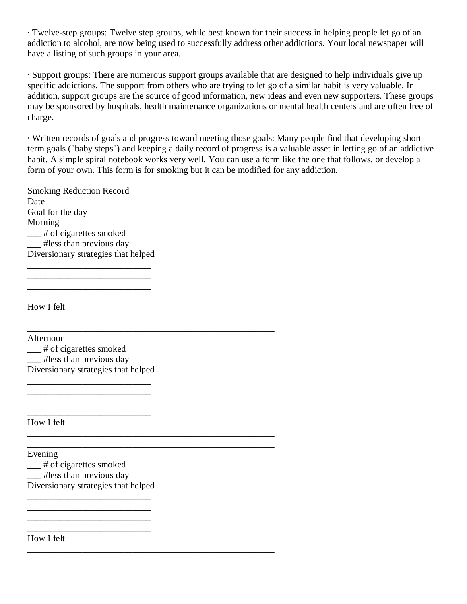· Twelve-step groups: Twelve step groups, while best known for their success in helping people let go of an addiction to alcohol, are now being used to successfully address other addictions. Your local newspaper will have a listing of such groups in your area.

· Support groups: There are numerous support groups available that are designed to help individuals give up specific addictions. The support from others who are trying to let go of a similar habit is very valuable. In addition, support groups are the source of good information, new ideas and even new supporters. These groups may be sponsored by hospitals, health maintenance organizations or mental health centers and are often free of charge.

· Written records of goals and progress toward meeting those goals: Many people find that developing short term goals ("baby steps") and keeping a daily record of progress is a valuable asset in letting go of an addictive habit. A simple spiral notebook works very well. You can use a form like the one that follows, or develop a form of your own. This form is for smoking but it can be modified for any addiction.

Smoking Reduction Record Date Goal for the day Morning \_\_\_ # of cigarettes smoked \_\_\_ #less than previous day Diversionary strategies that helped \_\_\_\_\_\_\_\_\_\_\_\_\_\_\_\_\_\_\_\_\_\_\_\_\_\_\_

 $\mathcal{L}_\text{max}$  , and the set of the set of the set of the set of the set of the set of the set of the set of the set of the set of the set of the set of the set of the set of the set of the set of the set of the set of the

\_\_\_\_\_\_\_\_\_\_\_\_\_\_\_\_\_\_\_\_\_\_\_\_\_\_\_

\_\_\_\_\_\_\_\_\_\_\_\_\_\_\_\_\_\_\_\_\_\_\_\_\_\_\_\_\_\_\_\_\_\_\_\_\_\_\_\_\_\_\_\_\_\_\_\_\_\_\_\_\_\_

\_\_\_\_\_\_\_\_\_\_\_\_\_\_\_\_\_\_\_\_\_\_\_\_\_\_\_\_\_\_\_\_\_\_\_\_\_\_\_\_\_\_\_\_\_\_\_\_\_\_\_\_\_\_

\_\_\_\_\_\_\_\_\_\_\_\_\_\_\_\_\_\_\_\_\_\_\_\_\_\_\_\_\_\_\_\_\_\_\_\_\_\_\_\_\_\_\_\_\_\_\_\_\_\_\_\_\_\_ \_\_\_\_\_\_\_\_\_\_\_\_\_\_\_\_\_\_\_\_\_\_\_\_\_\_\_\_\_\_\_\_\_\_\_\_\_\_\_\_\_\_\_\_\_\_\_\_\_\_\_\_\_\_

How I felt

Afternoon

\_\_\_ # of cigarettes smoked

\_\_\_ #less than previous day

Diversionary strategies that helped

 $\overline{\phantom{a}}$  , where the contract of the contract of the contract of  $\overline{\phantom{a}}$ \_\_\_\_\_\_\_\_\_\_\_\_\_\_\_\_\_\_\_\_\_\_\_\_\_\_\_

\_\_\_\_\_\_\_\_\_\_\_\_\_\_\_\_\_\_\_\_\_\_\_\_\_\_\_

How I felt

Evening

\_\_\_ # of cigarettes smoked \_\_\_ #less than previous day Diversionary strategies that helped

\_\_\_\_\_\_\_\_\_\_\_\_\_\_\_\_\_\_\_\_\_\_\_\_\_\_\_ \_\_\_\_\_\_\_\_\_\_\_\_\_\_\_\_\_\_\_\_\_\_\_\_\_\_\_

\_\_\_\_\_\_\_\_\_\_\_\_\_\_\_\_\_\_\_\_\_\_\_\_\_\_\_

How I felt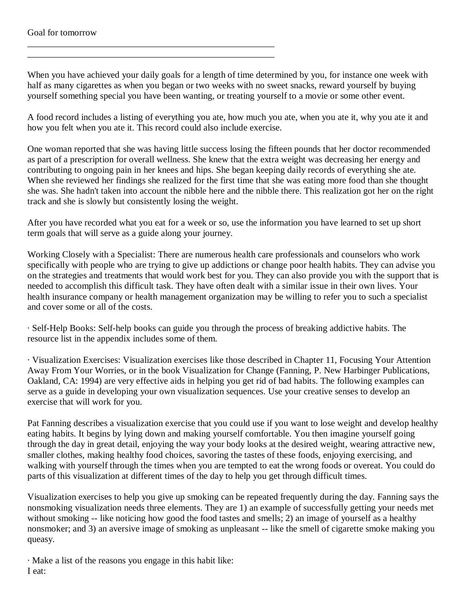#### Goal for tomorrow

When you have achieved your daily goals for a length of time determined by you, for instance one week with half as many cigarettes as when you began or two weeks with no sweet snacks, reward yourself by buying yourself something special you have been wanting, or treating yourself to a movie or some other event.

\_\_\_\_\_\_\_\_\_\_\_\_\_\_\_\_\_\_\_\_\_\_\_\_\_\_\_\_\_\_\_\_\_\_\_\_\_\_\_\_\_\_\_\_\_\_\_\_\_\_\_\_\_\_ \_\_\_\_\_\_\_\_\_\_\_\_\_\_\_\_\_\_\_\_\_\_\_\_\_\_\_\_\_\_\_\_\_\_\_\_\_\_\_\_\_\_\_\_\_\_\_\_\_\_\_\_\_\_

A food record includes a listing of everything you ate, how much you ate, when you ate it, why you ate it and how you felt when you ate it. This record could also include exercise.

One woman reported that she was having little success losing the fifteen pounds that her doctor recommended as part of a prescription for overall wellness. She knew that the extra weight was decreasing her energy and contributing to ongoing pain in her knees and hips. She began keeping daily records of everything she ate. When she reviewed her findings she realized for the first time that she was eating more food than she thought she was. She hadn't taken into account the nibble here and the nibble there. This realization got her on the right track and she is slowly but consistently losing the weight.

After you have recorded what you eat for a week or so, use the information you have learned to set up short term goals that will serve as a guide along your journey.

Working Closely with a Specialist: There are numerous health care professionals and counselors who work specifically with people who are trying to give up addictions or change poor health habits. They can advise you on the strategies and treatments that would work best for you. They can also provide you with the support that is needed to accomplish this difficult task. They have often dealt with a similar issue in their own lives. Your health insurance company or health management organization may be willing to refer you to such a specialist and cover some or all of the costs.

· Self-Help Books: Self-help books can guide you through the process of breaking addictive habits. The resource list in the appendix includes some of them.

· Visualization Exercises: Visualization exercises like those described in Chapter 11, Focusing Your Attention Away From Your Worries, or in the book Visualization for Change (Fanning, P. New Harbinger Publications, Oakland, CA: 1994) are very effective aids in helping you get rid of bad habits. The following examples can serve as a guide in developing your own visualization sequences. Use your creative senses to develop an exercise that will work for you.

Pat Fanning describes a visualization exercise that you could use if you want to lose weight and develop healthy eating habits. It begins by lying down and making yourself comfortable. You then imagine yourself going through the day in great detail, enjoying the way your body looks at the desired weight, wearing attractive new, smaller clothes, making healthy food choices, savoring the tastes of these foods, enjoying exercising, and walking with yourself through the times when you are tempted to eat the wrong foods or overeat. You could do parts of this visualization at different times of the day to help you get through difficult times.

Visualization exercises to help you give up smoking can be repeated frequently during the day. Fanning says the nonsmoking visualization needs three elements. They are 1) an example of successfully getting your needs met without smoking -- like noticing how good the food tastes and smells; 2) an image of yourself as a healthy nonsmoker; and 3) an aversive image of smoking as unpleasant -- like the smell of cigarette smoke making you queasy.

· Make a list of the reasons you engage in this habit like: I eat: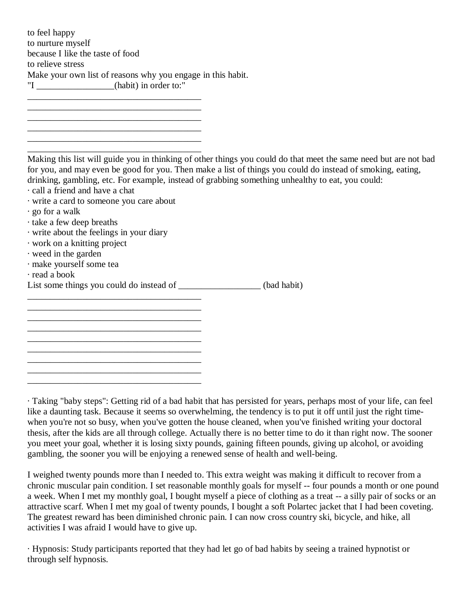to feel happy to nurture myself because I like the taste of food to relieve stress Make your own list of reasons why you engage in this habit. "I \_\_\_\_\_\_\_\_\_\_\_\_\_\_\_\_(habit) in order to:" \_\_\_\_\_\_\_\_\_\_\_\_\_\_\_\_\_\_\_\_\_\_\_\_\_\_\_\_\_\_\_\_\_\_\_\_\_\_ \_\_\_\_\_\_\_\_\_\_\_\_\_\_\_\_\_\_\_\_\_\_\_\_\_\_\_\_\_\_\_\_\_\_\_\_\_\_ \_\_\_\_\_\_\_\_\_\_\_\_\_\_\_\_\_\_\_\_\_\_\_\_\_\_\_\_\_\_\_\_\_\_\_\_\_\_ Making this list will guide you in thinking of other things you could do that meet the same need but are not bad for you, and may even be good for you. Then make a list of things you could do instead of smoking, eating, drinking, gambling, etc. For example, instead of grabbing something unhealthy to eat, you could: · call a friend and have a chat · write a card to someone you care about · go for a walk · take a few deep breaths · write about the feelings in your diary · work on a knitting project · weed in the garden · make yourself some tea · read a book List some things you could do instead of \_\_\_\_\_\_\_\_\_\_\_\_\_\_\_\_\_\_\_ (bad habit) \_\_\_\_\_\_\_\_\_\_\_\_\_\_\_\_\_\_\_\_\_\_\_\_\_\_\_\_\_\_\_\_\_\_\_\_\_\_

\_\_\_\_\_\_\_\_\_\_\_\_\_\_\_\_\_\_\_\_\_\_\_\_\_\_\_\_\_\_\_\_\_\_\_\_\_\_

\_\_\_\_\_\_\_\_\_\_\_\_\_\_\_\_\_\_\_\_\_\_\_\_\_\_\_\_\_\_\_\_\_\_\_\_\_\_  $\mathcal{L}_\text{max}$  , and the set of the set of the set of the set of the set of the set of the set of the set of the set of the set of the set of the set of the set of the set of the set of the set of the set of the set of the \_\_\_\_\_\_\_\_\_\_\_\_\_\_\_\_\_\_\_\_\_\_\_\_\_\_\_\_\_\_\_\_\_\_\_\_\_\_

· Taking "baby steps": Getting rid of a bad habit that has persisted for years, perhaps most of your life, can feel like a daunting task. Because it seems so overwhelming, the tendency is to put it off until just the right timewhen you're not so busy, when you've gotten the house cleaned, when you've finished writing your doctoral thesis, after the kids are all through college. Actually there is no better time to do it than right now. The sooner you meet your goal, whether it is losing sixty pounds, gaining fifteen pounds, giving up alcohol, or avoiding gambling, the sooner you will be enjoying a renewed sense of health and well-being.

I weighed twenty pounds more than I needed to. This extra weight was making it difficult to recover from a chronic muscular pain condition. I set reasonable monthly goals for myself -- four pounds a month or one pound a week. When I met my monthly goal, I bought myself a piece of clothing as a treat -- a silly pair of socks or an attractive scarf. When I met my goal of twenty pounds, I bought a soft Polartec jacket that I had been coveting. The greatest reward has been diminished chronic pain. I can now cross country ski, bicycle, and hike, all activities I was afraid I would have to give up.

· Hypnosis: Study participants reported that they had let go of bad habits by seeing a trained hypnotist or through self hypnosis.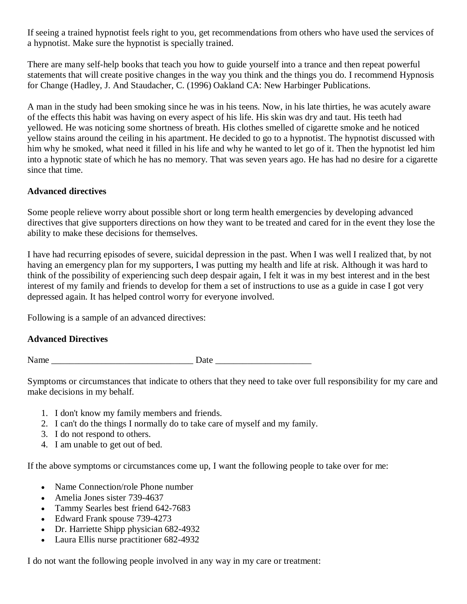If seeing a trained hypnotist feels right to you, get recommendations from others who have used the services of a hypnotist. Make sure the hypnotist is specially trained.

There are many self-help books that teach you how to guide yourself into a trance and then repeat powerful statements that will create positive changes in the way you think and the things you do. I recommend Hypnosis for Change (Hadley, J. And Staudacher, C. (1996) Oakland CA: New Harbinger Publications.

A man in the study had been smoking since he was in his teens. Now, in his late thirties, he was acutely aware of the effects this habit was having on every aspect of his life. His skin was dry and taut. His teeth had yellowed. He was noticing some shortness of breath. His clothes smelled of cigarette smoke and he noticed yellow stains around the ceiling in his apartment. He decided to go to a hypnotist. The hypnotist discussed with him why he smoked, what need it filled in his life and why he wanted to let go of it. Then the hypnotist led him into a hypnotic state of which he has no memory. That was seven years ago. He has had no desire for a cigarette since that time.

## **Advanced directives**

Some people relieve worry about possible short or long term health emergencies by developing advanced directives that give supporters directions on how they want to be treated and cared for in the event they lose the ability to make these decisions for themselves.

I have had recurring episodes of severe, suicidal depression in the past. When I was well I realized that, by not having an emergency plan for my supporters, I was putting my health and life at risk. Although it was hard to think of the possibility of experiencing such deep despair again, I felt it was in my best interest and in the best interest of my family and friends to develop for them a set of instructions to use as a guide in case I got very depressed again. It has helped control worry for everyone involved.

Following is a sample of an advanced directives:

## **Advanced Directives**

Name \_\_\_\_\_\_\_\_\_\_\_\_\_\_\_\_\_\_\_\_\_\_\_\_\_\_\_\_\_\_\_ Date \_\_\_\_\_\_\_\_\_\_\_\_\_\_\_\_\_\_\_\_\_

Symptoms or circumstances that indicate to others that they need to take over full responsibility for my care and make decisions in my behalf.

- 1. I don't know my family members and friends.
- 2. I can't do the things I normally do to take care of myself and my family.
- 3. I do not respond to others.
- 4. I am unable to get out of bed.

If the above symptoms or circumstances come up, I want the following people to take over for me:

- Name Connection/role Phone number
- Amelia Jones sister 739-4637
- Tammy Searles best friend 642-7683
- Edward Frank spouse 739-4273
- Dr. Harriette Shipp physician 682-4932
- Laura Ellis nurse practitioner 682-4932

I do not want the following people involved in any way in my care or treatment: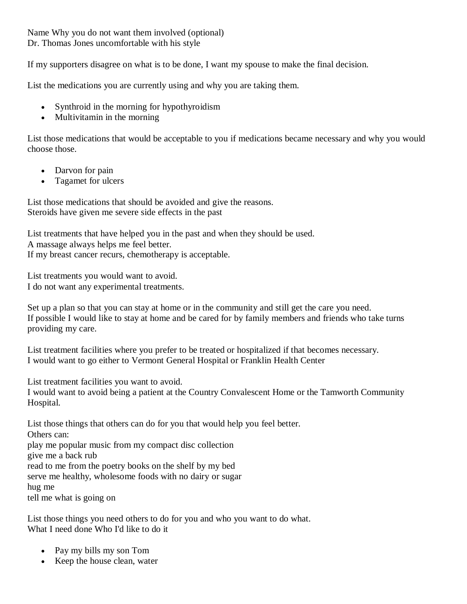Name Why you do not want them involved (optional) Dr. Thomas Jones uncomfortable with his style

If my supporters disagree on what is to be done, I want my spouse to make the final decision.

List the medications you are currently using and why you are taking them.

- Synthroid in the morning for hypothyroidism
- Multivitamin in the morning

List those medications that would be acceptable to you if medications became necessary and why you would choose those.

- Darvon for pain
- Tagamet for ulcers

List those medications that should be avoided and give the reasons. Steroids have given me severe side effects in the past

List treatments that have helped you in the past and when they should be used. A massage always helps me feel better. If my breast cancer recurs, chemotherapy is acceptable.

List treatments you would want to avoid. I do not want any experimental treatments.

Set up a plan so that you can stay at home or in the community and still get the care you need. If possible I would like to stay at home and be cared for by family members and friends who take turns providing my care.

List treatment facilities where you prefer to be treated or hospitalized if that becomes necessary. I would want to go either to Vermont General Hospital or Franklin Health Center

List treatment facilities you want to avoid.

I would want to avoid being a patient at the Country Convalescent Home or the Tamworth Community Hospital.

List those things that others can do for you that would help you feel better. Others can: play me popular music from my compact disc collection give me a back rub read to me from the poetry books on the shelf by my bed serve me healthy, wholesome foods with no dairy or sugar hug me tell me what is going on

List those things you need others to do for you and who you want to do what. What I need done Who I'd like to do it

- Pay my bills my son Tom
- Keep the house clean, water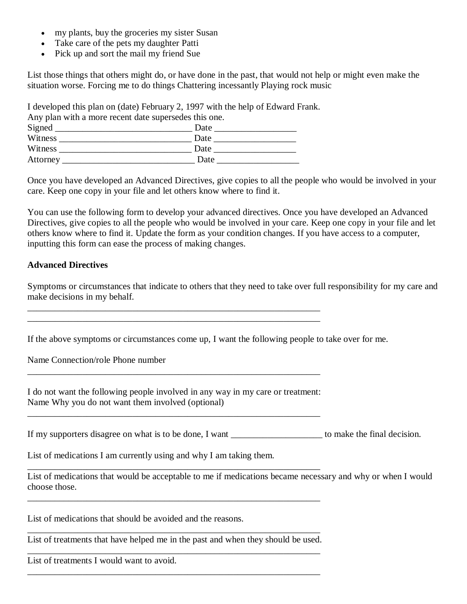- my plants, buy the groceries my sister Susan
- Take care of the pets my daughter Patti
- Pick up and sort the mail my friend Sue

List those things that others might do, or have done in the past, that would not help or might even make the situation worse. Forcing me to do things Chattering incessantly Playing rock music

I developed this plan on (date) February 2, 1997 with the help of Edward Frank.

Any plan with a more recent date supersedes this one. Signed \_\_\_\_\_\_\_\_\_\_\_\_\_\_\_\_\_\_\_\_\_\_\_\_\_\_\_\_\_\_ Date \_\_\_\_\_\_\_\_\_\_\_\_\_\_\_\_\_\_ Witness \_\_\_\_\_\_\_\_\_\_\_\_\_\_\_\_\_\_\_\_\_\_\_\_\_\_\_\_\_ Date \_\_\_\_\_\_\_\_\_\_\_\_\_\_\_\_\_\_ Witness \_\_\_\_\_\_\_\_\_\_\_\_\_\_\_\_\_\_\_\_\_\_\_\_\_\_\_\_\_ Date \_\_\_\_\_\_\_\_\_\_\_\_\_\_\_\_\_\_ Attorney \_\_\_\_\_\_\_\_\_\_\_\_\_\_\_\_\_\_\_\_\_\_\_\_\_\_\_\_\_ Date \_\_\_\_\_\_\_\_\_\_\_\_\_\_\_\_\_\_

Once you have developed an Advanced Directives, give copies to all the people who would be involved in your care. Keep one copy in your file and let others know where to find it.

You can use the following form to develop your advanced directives. Once you have developed an Advanced Directives, give copies to all the people who would be involved in your care. Keep one copy in your file and let others know where to find it. Update the form as your condition changes. If you have access to a computer, inputting this form can ease the process of making changes.

# **Advanced Directives**

Symptoms or circumstances that indicate to others that they need to take over full responsibility for my care and make decisions in my behalf.

If the above symptoms or circumstances come up, I want the following people to take over for me.

Name Connection/role Phone number

I do not want the following people involved in any way in my care or treatment: Name Why you do not want them involved (optional)

\_\_\_\_\_\_\_\_\_\_\_\_\_\_\_\_\_\_\_\_\_\_\_\_\_\_\_\_\_\_\_\_\_\_\_\_\_\_\_\_\_\_\_\_\_\_\_\_\_\_\_\_\_\_\_\_\_\_\_\_\_\_\_\_

\_\_\_\_\_\_\_\_\_\_\_\_\_\_\_\_\_\_\_\_\_\_\_\_\_\_\_\_\_\_\_\_\_\_\_\_\_\_\_\_\_\_\_\_\_\_\_\_\_\_\_\_\_\_\_\_\_\_\_\_\_\_\_\_

\_\_\_\_\_\_\_\_\_\_\_\_\_\_\_\_\_\_\_\_\_\_\_\_\_\_\_\_\_\_\_\_\_\_\_\_\_\_\_\_\_\_\_\_\_\_\_\_\_\_\_\_\_\_\_\_\_\_\_\_\_\_\_\_

\_\_\_\_\_\_\_\_\_\_\_\_\_\_\_\_\_\_\_\_\_\_\_\_\_\_\_\_\_\_\_\_\_\_\_\_\_\_\_\_\_\_\_\_\_\_\_\_\_\_\_\_\_\_\_\_\_\_\_\_\_\_\_\_

\_\_\_\_\_\_\_\_\_\_\_\_\_\_\_\_\_\_\_\_\_\_\_\_\_\_\_\_\_\_\_\_\_\_\_\_\_\_\_\_\_\_\_\_\_\_\_\_\_\_\_\_\_\_\_\_\_\_\_\_\_\_\_\_ \_\_\_\_\_\_\_\_\_\_\_\_\_\_\_\_\_\_\_\_\_\_\_\_\_\_\_\_\_\_\_\_\_\_\_\_\_\_\_\_\_\_\_\_\_\_\_\_\_\_\_\_\_\_\_\_\_\_\_\_\_\_\_\_

If my supporters disagree on what is to be done, I want to make the final decision.

List of medications I am currently using and why I am taking them.

List of medications that would be acceptable to me if medications became necessary and why or when I would choose those.

List of medications that should be avoided and the reasons.

\_\_\_\_\_\_\_\_\_\_\_\_\_\_\_\_\_\_\_\_\_\_\_\_\_\_\_\_\_\_\_\_\_\_\_\_\_\_\_\_\_\_\_\_\_\_\_\_\_\_\_\_\_\_\_\_\_\_\_\_\_\_\_\_ List of treatments that have helped me in the past and when they should be used. \_\_\_\_\_\_\_\_\_\_\_\_\_\_\_\_\_\_\_\_\_\_\_\_\_\_\_\_\_\_\_\_\_\_\_\_\_\_\_\_\_\_\_\_\_\_\_\_\_\_\_\_\_\_\_\_\_\_\_\_\_\_\_\_

\_\_\_\_\_\_\_\_\_\_\_\_\_\_\_\_\_\_\_\_\_\_\_\_\_\_\_\_\_\_\_\_\_\_\_\_\_\_\_\_\_\_\_\_\_\_\_\_\_\_\_\_\_\_\_\_\_\_\_\_\_\_\_\_

List of treatments I would want to avoid.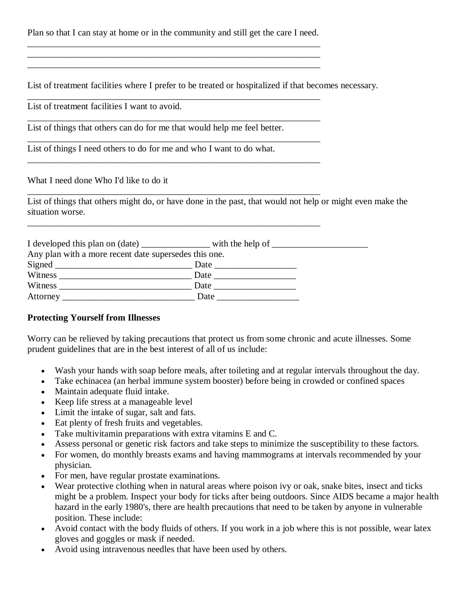Plan so that I can stay at home or in the community and still get the care I need. \_\_\_\_\_\_\_\_\_\_\_\_\_\_\_\_\_\_\_\_\_\_\_\_\_\_\_\_\_\_\_\_\_\_\_\_\_\_\_\_\_\_\_\_\_\_\_\_\_\_\_\_\_\_\_\_\_\_\_\_\_\_\_\_

\_\_\_\_\_\_\_\_\_\_\_\_\_\_\_\_\_\_\_\_\_\_\_\_\_\_\_\_\_\_\_\_\_\_\_\_\_\_\_\_\_\_\_\_\_\_\_\_\_\_\_\_\_\_\_\_\_\_\_\_\_\_\_\_ \_\_\_\_\_\_\_\_\_\_\_\_\_\_\_\_\_\_\_\_\_\_\_\_\_\_\_\_\_\_\_\_\_\_\_\_\_\_\_\_\_\_\_\_\_\_\_\_\_\_\_\_\_\_\_\_\_\_\_\_\_\_\_\_

\_\_\_\_\_\_\_\_\_\_\_\_\_\_\_\_\_\_\_\_\_\_\_\_\_\_\_\_\_\_\_\_\_\_\_\_\_\_\_\_\_\_\_\_\_\_\_\_\_\_\_\_\_\_\_\_\_\_\_\_\_\_\_\_

\_\_\_\_\_\_\_\_\_\_\_\_\_\_\_\_\_\_\_\_\_\_\_\_\_\_\_\_\_\_\_\_\_\_\_\_\_\_\_\_\_\_\_\_\_\_\_\_\_\_\_\_\_\_\_\_\_\_\_\_\_\_\_\_

\_\_\_\_\_\_\_\_\_\_\_\_\_\_\_\_\_\_\_\_\_\_\_\_\_\_\_\_\_\_\_\_\_\_\_\_\_\_\_\_\_\_\_\_\_\_\_\_\_\_\_\_\_\_\_\_\_\_\_\_\_\_\_\_

\_\_\_\_\_\_\_\_\_\_\_\_\_\_\_\_\_\_\_\_\_\_\_\_\_\_\_\_\_\_\_\_\_\_\_\_\_\_\_\_\_\_\_\_\_\_\_\_\_\_\_\_\_\_\_\_\_\_\_\_\_\_\_\_

\_\_\_\_\_\_\_\_\_\_\_\_\_\_\_\_\_\_\_\_\_\_\_\_\_\_\_\_\_\_\_\_\_\_\_\_\_\_\_\_\_\_\_\_\_\_\_\_\_\_\_\_\_\_\_\_\_\_\_\_\_\_\_\_

List of treatment facilities where I prefer to be treated or hospitalized if that becomes necessary.

List of treatment facilities I want to avoid.

List of things that others can do for me that would help me feel better.

List of things I need others to do for me and who I want to do what.

What I need done Who I'd like to do it

\_\_\_\_\_\_\_\_\_\_\_\_\_\_\_\_\_\_\_\_\_\_\_\_\_\_\_\_\_\_\_\_\_\_\_\_\_\_\_\_\_\_\_\_\_\_\_\_\_\_\_\_\_\_\_\_\_\_\_\_\_\_\_\_ List of things that others might do, or have done in the past, that would not help or might even make the situation worse.

|                                                       | with the help of |  |  |
|-------------------------------------------------------|------------------|--|--|
| Any plan with a more recent date supersedes this one. |                  |  |  |
|                                                       |                  |  |  |
| Witness                                               | Date             |  |  |
|                                                       |                  |  |  |
|                                                       | Date             |  |  |

#### **Protecting Yourself from Illnesses**

Worry can be relieved by taking precautions that protect us from some chronic and acute illnesses. Some prudent guidelines that are in the best interest of all of us include:

- Wash your hands with soap before meals, after toileting and at regular intervals throughout the day.
- Take echinacea (an herbal immune system booster) before being in crowded or confined spaces
- Maintain adequate fluid intake.
- Keep life stress at a manageable level
- Limit the intake of sugar, salt and fats.
- Eat plenty of fresh fruits and vegetables.
- Take multivitamin preparations with extra vitamins E and C.
- Assess personal or genetic risk factors and take steps to minimize the susceptibility to these factors.
- For women, do monthly breasts exams and having mammograms at intervals recommended by your physician.
- For men, have regular prostate examinations.
- Wear protective clothing when in natural areas where poison ivy or oak, snake bites, insect and ticks might be a problem. Inspect your body for ticks after being outdoors. Since AIDS became a major health hazard in the early 1980's, there are health precautions that need to be taken by anyone in vulnerable position. These include:
- Avoid contact with the body fluids of others. If you work in a job where this is not possible, wear latex gloves and goggles or mask if needed.
- Avoid using intravenous needles that have been used by others.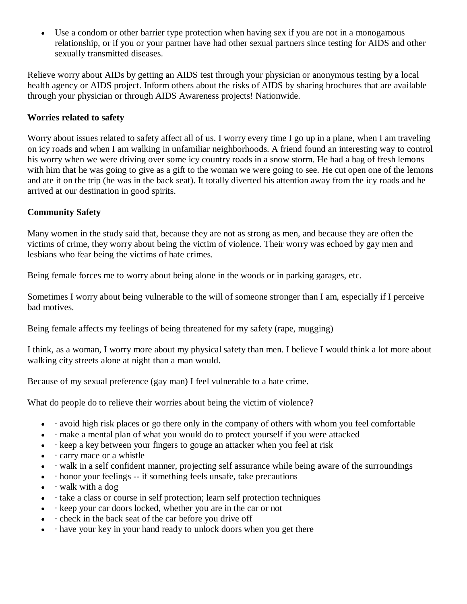• Use a condom or other barrier type protection when having sex if you are not in a monogamous relationship, or if you or your partner have had other sexual partners since testing for AIDS and other sexually transmitted diseases.

Relieve worry about AIDs by getting an AIDS test through your physician or anonymous testing by a local health agency or AIDS project. Inform others about the risks of AIDS by sharing brochures that are available through your physician or through AIDS Awareness projects! Nationwide.

## **Worries related to safety**

Worry about issues related to safety affect all of us. I worry every time I go up in a plane, when I am traveling on icy roads and when I am walking in unfamiliar neighborhoods. A friend found an interesting way to control his worry when we were driving over some icy country roads in a snow storm. He had a bag of fresh lemons with him that he was going to give as a gift to the woman we were going to see. He cut open one of the lemons and ate it on the trip (he was in the back seat). It totally diverted his attention away from the icy roads and he arrived at our destination in good spirits.

# **Community Safety**

Many women in the study said that, because they are not as strong as men, and because they are often the victims of crime, they worry about being the victim of violence. Their worry was echoed by gay men and lesbians who fear being the victims of hate crimes.

Being female forces me to worry about being alone in the woods or in parking garages, etc.

Sometimes I worry about being vulnerable to the will of someone stronger than I am, especially if I perceive bad motives.

Being female affects my feelings of being threatened for my safety (rape, mugging)

I think, as a woman, I worry more about my physical safety than men. I believe I would think a lot more about walking city streets alone at night than a man would.

Because of my sexual preference (gay man) I feel vulnerable to a hate crime.

What do people do to relieve their worries about being the victim of violence?

- $\bullet$  · avoid high risk places or go there only in the company of others with whom you feel comfortable
- · make a mental plan of what you would do to protect yourself if you were attacked
- $\bullet$  · keep a key between your fingers to gouge an attacker when you feel at risk
- carry mace or a whistle
- · walk in a self confident manner, projecting self assurance while being aware of the surroundings
- · honor your feelings -- if something feels unsafe, take precautions
- $\bullet$  · walk with a dog
- · take a class or course in self protection; learn self protection techniques
- · keep your car doors locked, whether you are in the car or not
- · check in the back seat of the car before you drive off
- · have your key in your hand ready to unlock doors when you get there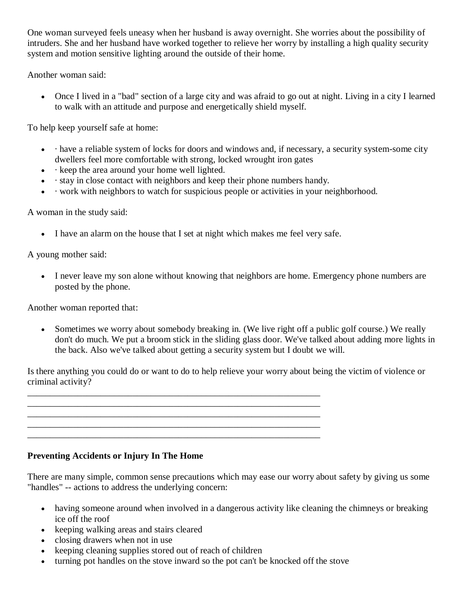One woman surveyed feels uneasy when her husband is away overnight. She worries about the possibility of intruders. She and her husband have worked together to relieve her worry by installing a high quality security system and motion sensitive lighting around the outside of their home.

Another woman said:

• Once I lived in a "bad" section of a large city and was afraid to go out at night. Living in a city I learned to walk with an attitude and purpose and energetically shield myself.

To help keep yourself safe at home:

- · have a reliable system of locks for doors and windows and, if necessary, a security system-some city dwellers feel more comfortable with strong, locked wrought iron gates
- $\bullet$  · keep the area around your home well lighted.
- · stay in close contact with neighbors and keep their phone numbers handy.
- · work with neighbors to watch for suspicious people or activities in your neighborhood.

A woman in the study said:

• I have an alarm on the house that I set at night which makes me feel very safe.

\_\_\_\_\_\_\_\_\_\_\_\_\_\_\_\_\_\_\_\_\_\_\_\_\_\_\_\_\_\_\_\_\_\_\_\_\_\_\_\_\_\_\_\_\_\_\_\_\_\_\_\_\_\_\_\_\_\_\_\_\_\_\_\_ \_\_\_\_\_\_\_\_\_\_\_\_\_\_\_\_\_\_\_\_\_\_\_\_\_\_\_\_\_\_\_\_\_\_\_\_\_\_\_\_\_\_\_\_\_\_\_\_\_\_\_\_\_\_\_\_\_\_\_\_\_\_\_\_

\_\_\_\_\_\_\_\_\_\_\_\_\_\_\_\_\_\_\_\_\_\_\_\_\_\_\_\_\_\_\_\_\_\_\_\_\_\_\_\_\_\_\_\_\_\_\_\_\_\_\_\_\_\_\_\_\_\_\_\_\_\_\_\_

\_\_\_\_\_\_\_\_\_\_\_\_\_\_\_\_\_\_\_\_\_\_\_\_\_\_\_\_\_\_\_\_\_\_\_\_\_\_\_\_\_\_\_\_\_\_\_\_\_\_\_\_\_\_\_\_\_\_\_\_\_\_\_\_

A young mother said:

• I never leave my son alone without knowing that neighbors are home. Emergency phone numbers are posted by the phone.

Another woman reported that:

• Sometimes we worry about somebody breaking in. (We live right off a public golf course.) We really don't do much. We put a broom stick in the sliding glass door. We've talked about adding more lights in the back. Also we've talked about getting a security system but I doubt we will.

Is there anything you could do or want to do to help relieve your worry about being the victim of violence or criminal activity?

## **Preventing Accidents or Injury In The Home**

There are many simple, common sense precautions which may ease our worry about safety by giving us some "handles" -- actions to address the underlying concern:

- having someone around when involved in a dangerous activity like cleaning the chimneys or breaking ice off the roof
- keeping walking areas and stairs cleared
- closing drawers when not in use
- keeping cleaning supplies stored out of reach of children
- turning pot handles on the stove inward so the pot can't be knocked off the stove